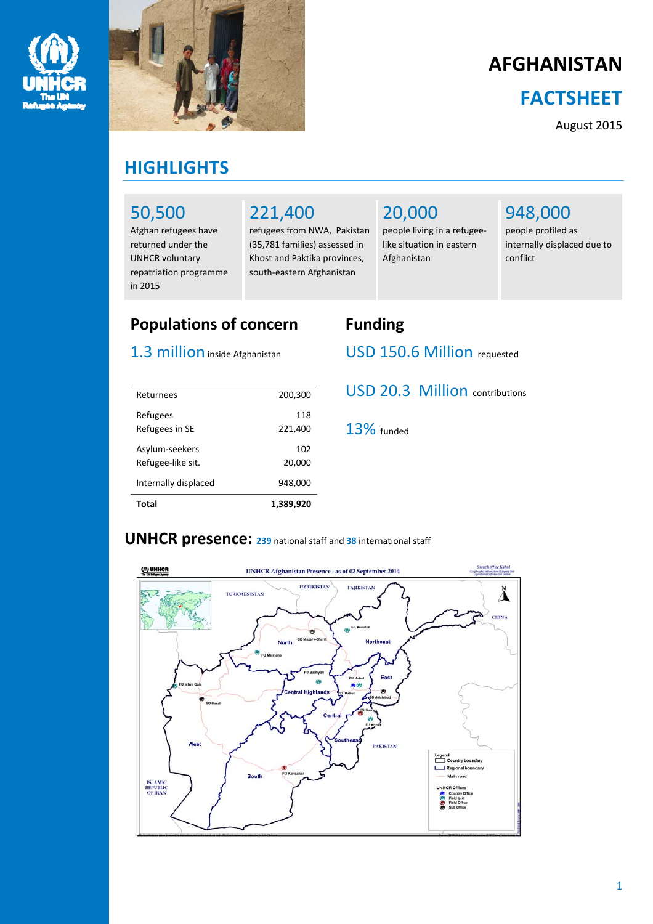



# **AFGHANISTAN**

## **FACTSHEET**

August 2015

### **HIGHLIGHTS**

50,500

Afghan refugees have returned under the UNHCR voluntary repatriation programme in 2015

### 221,400

refugees from NWA, Pakistan (35,781 families) assessed in Khost and Paktika provinces, south‐eastern Afghanistan

20,000

people living in a refugee‐ like situation in eastern Afghanistan

## 948,000

people profiled as internally displaced due to conflict

# **Populations of concern Funding**

1.3 million inside Afghanistan

| Total                               | 1,389,920      |
|-------------------------------------|----------------|
| Internally displaced                | 948,000        |
| Asylum-seekers<br>Refugee-like sit. | 102<br>20,000  |
| Refugees<br>Refugees in SE          | 118<br>221,400 |
| Returnees                           | 200,300        |
|                                     |                |

USD 150.6 Million requested

USD 20.3 Million contributions

13% funded

### **UNHCR presence: <sup>239</sup>** national staff and **<sup>38</sup>** international staff

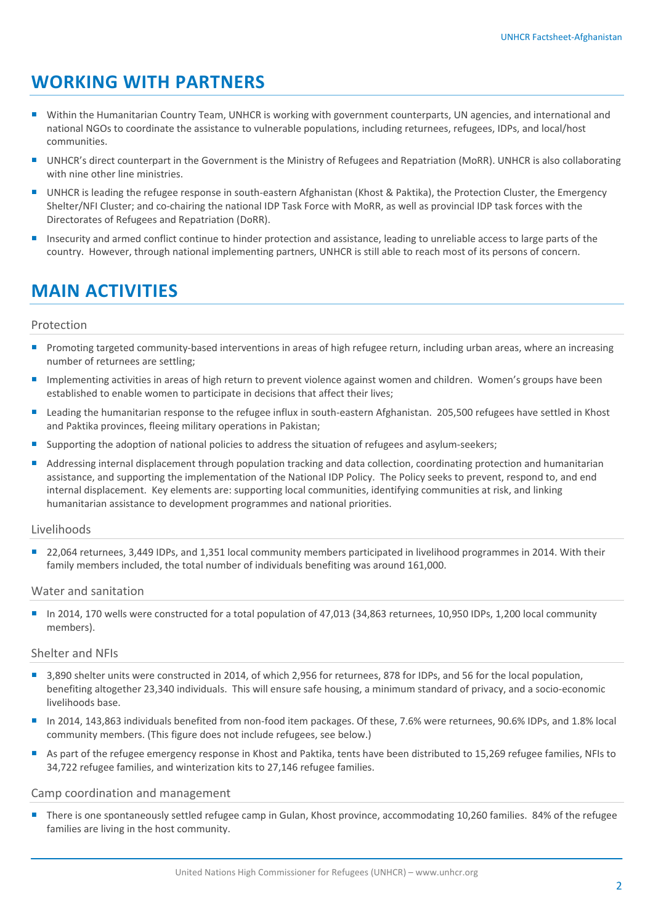### **WORKING WITH PARTNERS**

- Within the Humanitarian Country Team, UNHCR is working with government counterparts, UN agencies, and international and national NGOs to coordinate the assistance to vulnerable populations, including returnees, refugees, IDPs, and local/host communities.
- UNHCR's direct counterpart in the Government is the Ministry of Refugees and Repatriation (MoRR). UNHCR is also collaborating with nine other line ministries.
- UNHCR is leading the refugee response in south-eastern Afghanistan (Khost & Paktika), the Protection Cluster, the Emergency Shelter/NFI Cluster; and co-chairing the national IDP Task Force with MoRR, as well as provincial IDP task forces with the Directorates of Refugees and Repatriation (DoRR).
- **Insecurity and armed conflict continue to hinder protection and assistance, leading to unreliable access to large parts of the** country. However, through national implementing partners, UNHCR is still able to reach most of its persons of concern.

### **MAIN ACTIVITIES**

#### Protection

- Promoting targeted community-based interventions in areas of high refugee return, including urban areas, where an increasing number of returnees are settling;
- Implementing activities in areas of high return to prevent violence against women and children. Women's groups have been established to enable women to participate in decisions that affect their lives;
- Leading the humanitarian response to the refugee influx in south-eastern Afghanistan. 205,500 refugees have settled in Khost and Paktika provinces, fleeing military operations in Pakistan;
- Supporting the adoption of national policies to address the situation of refugees and asylum‐seekers;
- Addressing internal displacement through population tracking and data collection, coordinating protection and humanitarian assistance, and supporting the implementation of the National IDP Policy. The Policy seeks to prevent, respond to, and end internal displacement. Key elements are: supporting local communities, identifying communities at risk, and linking humanitarian assistance to development programmes and national priorities.

#### Livelihoods

 22,064 returnees, 3,449 IDPs, and 1,351 local community members participated in livelihood programmes in 2014. With their family members included, the total number of individuals benefiting was around 161,000.

#### Water and sanitation

 In 2014, 170 wells were constructed for a total population of 47,013 (34,863 returnees, 10,950 IDPs, 1,200 local community members).

#### Shelter and NFIs

- 3,890 shelter units were constructed in 2014, of which 2,956 for returnees, 878 for IDPs, and 56 for the local population, benefiting altogether 23,340 individuals. This will ensure safe housing, a minimum standard of privacy, and a socio‐economic livelihoods base.
- In 2014, 143,863 individuals benefited from non-food item packages. Of these, 7.6% were returnees, 90.6% IDPs, and 1.8% local community members. (This figure does not include refugees, see below.)
- As part of the refugee emergency response in Khost and Paktika, tents have been distributed to 15,269 refugee families, NFIs to 34,722 refugee families, and winterization kits to 27,146 refugee families.

#### Camp coordination and management

There is one spontaneously settled refugee camp in Gulan, Khost province, accommodating 10,260 families. 84% of the refugee families are living in the host community.